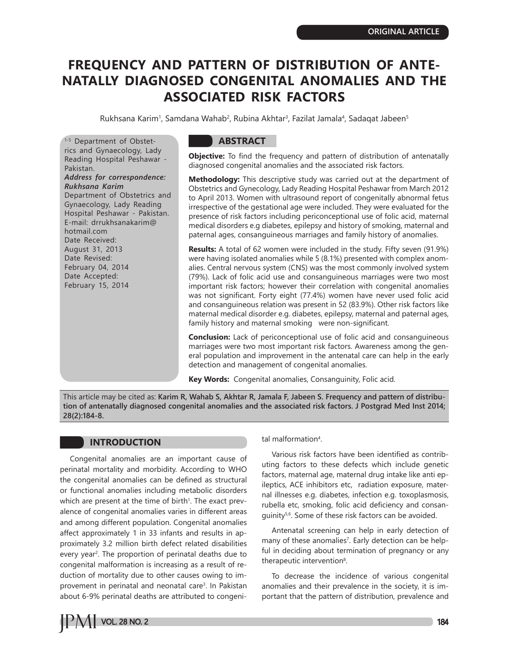# **FREQUENCY AND PATTERN OF DISTRIBUTION OF ANTE-NATALLY DIAGNOSED CONGENITAL ANOMALIES AND THE ASSOCIATED RISK FACTORS**

Rukhsana Karim<sup>1</sup>, Samdana Wahab<sup>2</sup>, Rubina Akhtar<sup>3</sup>, Fazilat Jamala<sup>4</sup>, Sadaqat Jabeen<sup>s</sup>

1-5 Department of Obstetrics and Gynaecology, Lady Reading Hospital Peshawar - Pakistan. *Address for correspondence: Rukhsana Karim* Department of Obstetrics and Gynaecology, Lady Reading Hospital Peshawar - Pakistan. E-mail: drrukhsanakarim@ hotmail.com Date Received: August 31, 2013 Date Revised: February 04, 2014 Date Accepted: February 15, 2014

### **ABSTRACT**

**Objective:** To find the frequency and pattern of distribution of antenatally diagnosed congenital anomalies and the associated risk factors.

**Methodology:** This descriptive study was carried out at the department of Obstetrics and Gynecology, Lady Reading Hospital Peshawar from March 2012 to April 2013. Women with ultrasound report of congenitally abnormal fetus irrespective of the gestational age were included. They were evaluated for the presence of risk factors including periconceptional use of folic acid, maternal medical disorders e.g diabetes, epilepsy and history of smoking, maternal and paternal ages, consanguineous marriages and family history of anomalies.

**Results:** A total of 62 women were included in the study. Fifty seven (91.9%) were having isolated anomalies while 5 (8.1%) presented with complex anomalies. Central nervous system (CNS) was the most commonly involved system (79%). Lack of folic acid use and consanguineous marriages were two most important risk factors; however their correlation with congenital anomalies was not significant. Forty eight (77.4%) women have never used folic acid and consanguineous relation was present in 52 (83.9%). Other risk factors like maternal medical disorder e.g. diabetes, epilepsy, maternal and paternal ages, family history and maternal smoking were non-significant.

**Conclusion:** Lack of periconceptional use of folic acid and consanguineous marriages were two most important risk factors. Awareness among the general population and improvement in the antenatal care can help in the early detection and management of congenital anomalies.

**Key Words:** Congenital anomalies, Consanguinity, Folic acid.

This article may be cited as: **Karim R, Wahab S, Akhtar R, Jamala F, Jabeen S. Frequency and pattern of distribution of antenatally diagnosed congenital anomalies and the associated risk factors. J Postgrad Med Inst 2014; 28(2):184-8.**

### **INTRODUCTION**

Congenital anomalies are an important cause of perinatal mortality and morbidity. According to WHO the congenital anomalies can be defined as structural or functional anomalies including metabolic disorders which are present at the time of birth<sup>1</sup>. The exact prevalence of congenital anomalies varies in different areas and among different population. Congenital anomalies affect approximately 1 in 33 infants and results in approximately 3.2 million birth defect related disabilities every year<sup>2</sup>. The proportion of perinatal deaths due to congenital malformation is increasing as a result of reduction of mortality due to other causes owing to improvement in perinatal and neonatal care<sup>3</sup>. In Pakistan about 6-9% perinatal deaths are attributed to congeni-

#### tal malformation<sup>4</sup>.

Various risk factors have been identified as contributing factors to these defects which include genetic factors, maternal age, maternal drug intake like anti epileptics, ACE inhibitors etc, radiation exposure, maternal illnesses e.g. diabetes, infection e.g. toxoplasmosis, rubella etc, smoking, folic acid deficiency and consanguinity<sup>5,6</sup>. Some of these risk factors can be avoided.

Antenatal screening can help in early detection of many of these anomalies7 . Early detection can be helpful in deciding about termination of pregnancy or any therapeutic intervention<sup>8</sup>.

To decrease the incidence of various congenital anomalies and their prevalence in the society, it is important that the pattern of distribution, prevalence and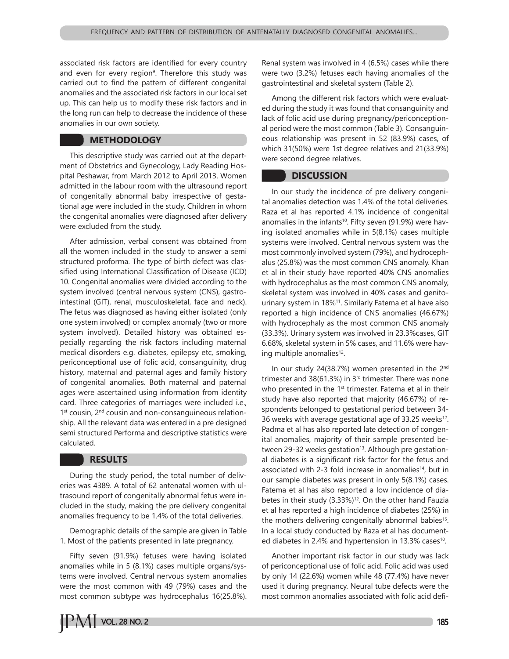associated risk factors are identified for every country and even for every region<sup>9</sup>. Therefore this study was carried out to find the pattern of different congenital anomalies and the associated risk factors in our local set up. This can help us to modify these risk factors and in the long run can help to decrease the incidence of these anomalies in our own society.

### **METHODOLOGY**

This descriptive study was carried out at the department of Obstetrics and Gynecology, Lady Reading Hospital Peshawar, from March 2012 to April 2013. Women admitted in the labour room with the ultrasound report of congenitally abnormal baby irrespective of gestational age were included in the study. Children in whom the congenital anomalies were diagnosed after delivery were excluded from the study.

After admission, verbal consent was obtained from all the women included in the study to answer a semi structured proforma. The type of birth defect was classified using International Classification of Disease (ICD) 10. Congenital anomalies were divided according to the system involved (central nervous system (CNS), gastrointestinal (GIT), renal, musculoskeletal, face and neck). The fetus was diagnosed as having either isolated (only one system involved) or complex anomaly (two or more system involved). Detailed history was obtained especially regarding the risk factors including maternal medical disorders e.g. diabetes, epilepsy etc, smoking, periconceptional use of folic acid, consanguinity, drug history, maternal and paternal ages and family history of congenital anomalies. Both maternal and paternal ages were ascertained using information from identity card. Three categories of marriages were included i.e., 1<sup>st</sup> cousin, 2<sup>nd</sup> cousin and non-consanguineous relationship. All the relevant data was entered in a pre designed semi structured Performa and descriptive statistics were calculated.

### **RESULTS**

During the study period, the total number of deliveries was 4389. A total of 62 antenatal women with ultrasound report of congenitally abnormal fetus were included in the study, making the pre delivery congenital anomalies frequency to be 1.4% of the total deliveries.

Demographic details of the sample are given in Table 1. Most of the patients presented in late pregnancy.

Fifty seven (91.9%) fetuses were having isolated anomalies while in 5 (8.1%) cases multiple organs/systems were involved. Central nervous system anomalies were the most common with 49 (79%) cases and the most common subtype was hydrocephalus 16(25.8%).



Among the different risk factors which were evaluated during the study it was found that consanguinity and lack of folic acid use during pregnancy/periconceptional period were the most common (Table 3). Consanguineous relationship was present in 52 (83.9%) cases, of which 31(50%) were 1st degree relatives and 21(33.9%) were second degree relatives.

#### **DISCUSSION**

In our study the incidence of pre delivery congenital anomalies detection was 1.4% of the total deliveries. Raza et al has reported 4.1% incidence of congenital anomalies in the infants<sup>10</sup>. Fifty seven (91.9%) were having isolated anomalies while in 5(8.1%) cases multiple systems were involved. Central nervous system was the most commonly involved system (79%), and hydrocephalus (25.8%) was the most common CNS anomaly. Khan et al in their study have reported 40% CNS anomalies with hydrocephalus as the most common CNS anomaly, skeletal system was involved in 40% cases and genitourinary system in 18%11. Similarly Fatema et al have also reported a high incidence of CNS anomalies (46.67%) with hydrocephaly as the most common CNS anomaly (33.3%). Urinary system was involved in 23.3%cases, GIT 6.68%, skeletal system in 5% cases, and 11.6% were having multiple anomalies<sup>12</sup>.

In our study 24(38.7%) women presented in the 2<sup>nd</sup> trimester and 38(61.3%) in  $3<sup>rd</sup>$  trimester. There was none who presented in the  $1<sup>st</sup>$  trimester. Fatema et al in their study have also reported that majority (46.67%) of respondents belonged to gestational period between 34- 36 weeks with average gestational age of  $33.25$  weeks<sup>12</sup>. Padma et al has also reported late detection of congenital anomalies, majority of their sample presented between 29-32 weeks gestation<sup>13</sup>. Although pre gestational diabetes is a significant risk factor for the fetus and associated with 2-3 fold increase in anomalies<sup>14</sup>, but in our sample diabetes was present in only 5(8.1%) cases. Fatema et al has also reported a low incidence of diabetes in their study  $(3.33\%)^{12}$ . On the other hand Fauzia et al has reported a high incidence of diabetes (25%) in the mothers delivering congenitally abnormal babies<sup>15</sup>. In a local study conducted by Raza et al has documented diabetes in 2.4% and hypertension in 13.3% cases<sup>10</sup>.

Another important risk factor in our study was lack of periconceptional use of folic acid. Folic acid was used by only 14 (22.6%) women while 48 (77.4%) have never used it during pregnancy. Neural tube defects were the most common anomalies associated with folic acid defi-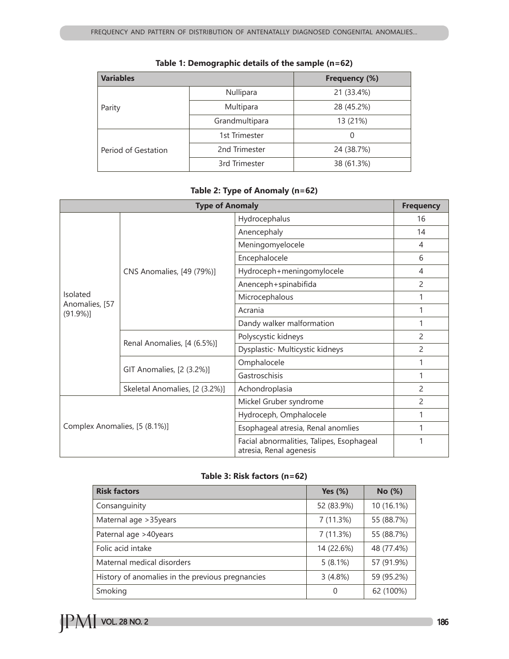| <b>Variables</b>    |                | Frequency (%) |  |
|---------------------|----------------|---------------|--|
| Parity              | Nullipara      | 21 (33.4%)    |  |
|                     | Multipara      | 28 (45.2%)    |  |
|                     | Grandmultipara | 13 (21%)      |  |
| Period of Gestation | 1st Trimester  | 0             |  |
|                     | 2nd Trimester  | 24 (38.7%)    |  |
|                     | 3rd Trimester  | 38 (61.3%)    |  |

# **Table 1: Demographic details of the sample (n=62)**

# **Table 2: Type of Anomaly (n=62)**

| <b>Type of Anomaly</b>                |                                |                                                                      | <b>Frequency</b> |
|---------------------------------------|--------------------------------|----------------------------------------------------------------------|------------------|
| Isolated<br>Anomalies, [57<br>(91.9%) |                                | Hydrocephalus                                                        | 16               |
|                                       |                                | Anencephaly                                                          | 14               |
|                                       |                                | Meningomyelocele                                                     | $\overline{4}$   |
|                                       | CNS Anomalies, [49 (79%)]      | Encephalocele                                                        | 6                |
|                                       |                                | Hydroceph+meningomylocele                                            | 4                |
|                                       |                                | Anenceph+spinabifida                                                 | 2                |
|                                       |                                | Microcephalous                                                       |                  |
|                                       |                                | Acrania                                                              | 1                |
|                                       |                                | Dandy walker malformation                                            | 1                |
|                                       |                                | Polyscystic kidneys                                                  | 2                |
|                                       | Renal Anomalies, [4 (6.5%)]    | Dysplastic Multicystic kidneys                                       | 2                |
|                                       |                                | Omphalocele                                                          |                  |
|                                       | GIT Anomalies, [2 (3.2%)]      | Gastroschisis                                                        | 1                |
|                                       | Skeletal Anomalies, [2 (3.2%)] | Achondroplasia                                                       | 2                |
| Complex Anomalies, [5 (8.1%)]         |                                | Mickel Gruber syndrome                                               | 2                |
|                                       |                                | Hydroceph, Omphalocele                                               | 1                |
|                                       |                                | Esophageal atresia, Renal anomlies                                   | 1                |
|                                       |                                | Facial abnormalities, Talipes, Esophageal<br>atresia, Renal agenesis | 1                |

### **Table 3: Risk factors (n=62)**

| <b>Risk factors</b>                              | <b>Yes (%)</b> | No (%)     |
|--------------------------------------------------|----------------|------------|
| Consanguinity                                    | 52 (83.9%)     | 10 (16.1%) |
| Maternal age > 35years                           | 7(11.3%)       | 55 (88.7%) |
| Paternal age >40years                            | 7(11.3%)       | 55 (88.7%) |
| Folic acid intake                                | 14 (22.6%)     | 48 (77.4%) |
| Maternal medical disorders                       | $5(8.1\%)$     | 57 (91.9%) |
| History of anomalies in the previous pregnancies | 3(4.8%)        | 59 (95.2%) |
| Smoking                                          | 0              | 62 (100%)  |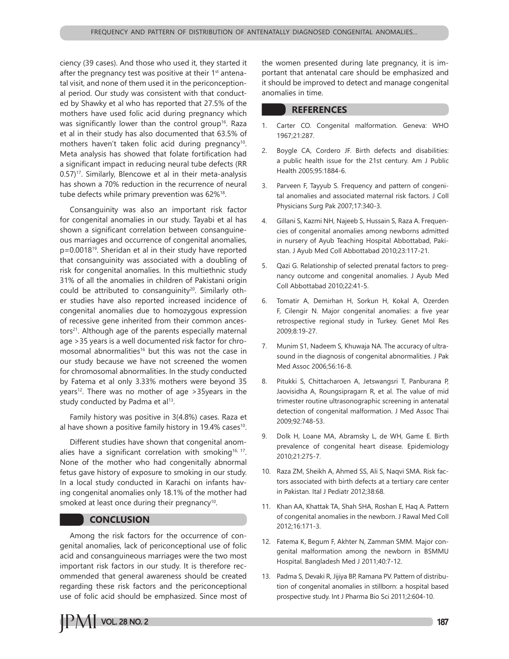ciency (39 cases). And those who used it, they started it after the pregnancy test was positive at their 1<sup>st</sup> antenatal visit, and none of them used it in the periconceptional period. Our study was consistent with that conducted by Shawky et al who has reported that 27.5% of the mothers have used folic acid during pregnancy which was significantly lower than the control group<sup>16</sup>. Raza et al in their study has also documented that 63.5% of mothers haven't taken folic acid during pregnancy<sup>10</sup>. Meta analysis has showed that folate fortification had a significant impact in reducing neural tube defects (RR 0.57)<sup>17</sup>. Similarly, Blencowe et al in their meta-analysis has shown a 70% reduction in the recurrence of neural tube defects while primary prevention was 62%<sup>18</sup>.

Consanguinity was also an important risk factor for congenital anomalies in our study. Tayabi et al has shown a significant correlation between consanguineous marriages and occurrence of congenital anomalies, p=0.001819. Sheridan et al in their study have reported that consanguinity was associated with a doubling of risk for congenital anomalies. In this multiethnic study 31% of all the anomalies in children of Pakistani origin could be attributed to consanguinity<sup>20</sup>. Similarly other studies have also reported increased incidence of congenital anomalies due to homozygous expression of recessive gene inherited from their common ancestors<sup>21</sup>. Although age of the parents especially maternal age >35 years is a well documented risk factor for chromosomal abnormalities<sup>16</sup> but this was not the case in our study because we have not screened the women for chromosomal abnormalities. In the study conducted by Fatema et al only 3.33% mothers were beyond 35 years<sup>12</sup>. There was no mother of age  $>$ 35years in the study conducted by Padma et al<sup>13</sup>.

Family history was positive in 3(4.8%) cases. Raza et al have shown a positive family history in 19.4% cases<sup>10</sup>.

Different studies have shown that congenital anomalies have a significant correlation with smoking<sup>16, 17</sup>. None of the mother who had congenitally abnormal fetus gave history of exposure to smoking in our study. In a local study conducted in Karachi on infants having congenital anomalies only 18.1% of the mother had smoked at least once during their pregnancy<sup>10</sup>.

### **CONCLUSION**

Among the risk factors for the occurrence of congenital anomalies, lack of periconceptional use of folic acid and consanguineous marriages were the two most important risk factors in our study. It is therefore recommended that general awareness should be created regarding these risk factors and the periconceptional use of folic acid should be emphasized. Since most of the women presented during late pregnancy, it is important that antenatal care should be emphasized and it should be improved to detect and manage congenital anomalies in time.

#### **REFERENCES**

- 1. Carter CO. Congenital malformation. Geneva: WHO 1967;21:287.
- 2. Boygle CA, Cordero JF. Birth defects and disabilities: a public health issue for the 21st century. Am J Public Health 2005;95:1884-6.
- 3. Parveen F, Tayyub S. Frequency and pattern of congenital anomalies and associated maternal risk factors. J Coll Physicians Surg Pak 2007;17:340-3.
- 4. Gillani S, Kazmi NH, Najeeb S, Hussain S, Raza A. Frequencies of congenital anomalies among newborns admitted in nursery of Ayub Teaching Hospital Abbottabad, Pakistan. J Ayub Med Coll Abbottabad 2010;23:117-21.
- 5. Qazi G. Relationship of selected prenatal factors to pregnancy outcome and congenital anomalies. J Ayub Med Coll Abbottabad 2010;22:41-5.
- 6. Tomatir A, Demirhan H, Sorkun H, Kokal A, Ozerden F, Cilengir N. Major congenital anomalies: a five year retrospective regional study in Turkey. Genet Mol Res 2009;8:19-27.
- 7. Munim S1, Nadeem S, Khuwaja NA. The accuracy of ultrasound in the diagnosis of congenital abnormalities. J Pak Med Assoc 2006;56:16-8.
- 8. Pitukki S, Chittacharoen A, Jetswangsri T, Panburana P, Jaovisidha A, Roungsipragarn R, et al. The value of mid trimester routine ultrasonographic screening in antenatal detection of congenital malformation. J Med Assoc Thai 2009;92:748-53.
- 9. Dolk H, Loane MA, Abramsky L, de WH, Game E. Birth prevalence of congenital heart disease. Epidemiology 2010;21:275-7.
- 10. Raza ZM, Sheikh A, Ahmed SS, Ali S, Naqvi SMA. Risk factors associated with birth defects at a tertiary care center in Pakistan. Ital J Pediatr 2012;38:68.
- 11. Khan AA, Khattak TA, Shah SHA, Roshan E, Haq A. Pattern of congenital anomalies in the newborn. J Rawal Med Coll 2012;16:171-3.
- 12. Fatema K, Begum F, Akhter N, Zamman SMM. Major congenital malformation among the newborn in BSMMU Hospital. Bangladesh Med J 2011;40:7-12.
- 13. Padma S, Devaki R, Jijiya BP, Ramana PV. Pattern of distribution of congenital anomalies in stillborn: a hospital based prospective study. Int J Pharma Bio Sci 2011;2:604-10.